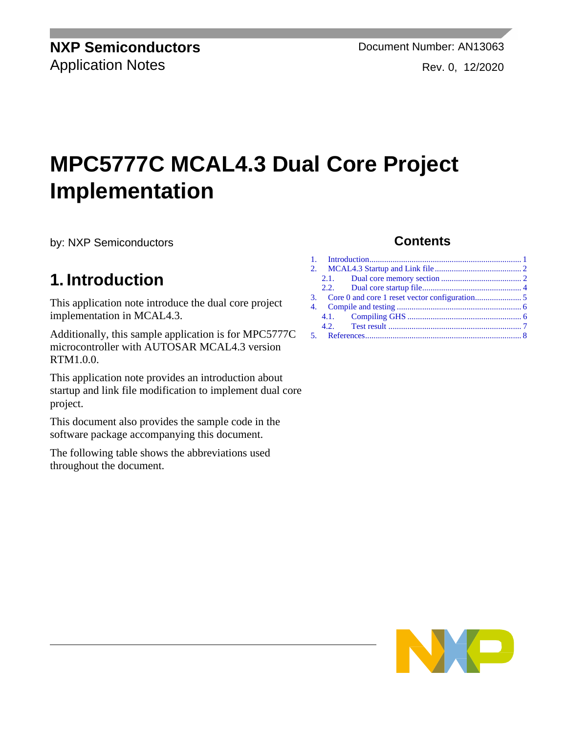**NXP Semiconductors** Document Number: AN13063 Application Notes **Rev. 0, 12/2020** 

# **MPC5777C MCAL4.3 Dual Core Project Implementation**

by: NXP Semiconductors

## <span id="page-0-0"></span>**1. Introduction**

This application note introduce the dual core project implementation in MCAL4.3.

Additionally, this sample application is for MPC5777C microcontroller with AUTOSAR MCAL4.3 version RTM1.0.0.

This application note provides an introduction about startup and link file modification to implement dual core project.

This document also provides the sample code in the software package accompanying this document.

The following table shows the abbreviations used throughout the document.

#### **Contents**

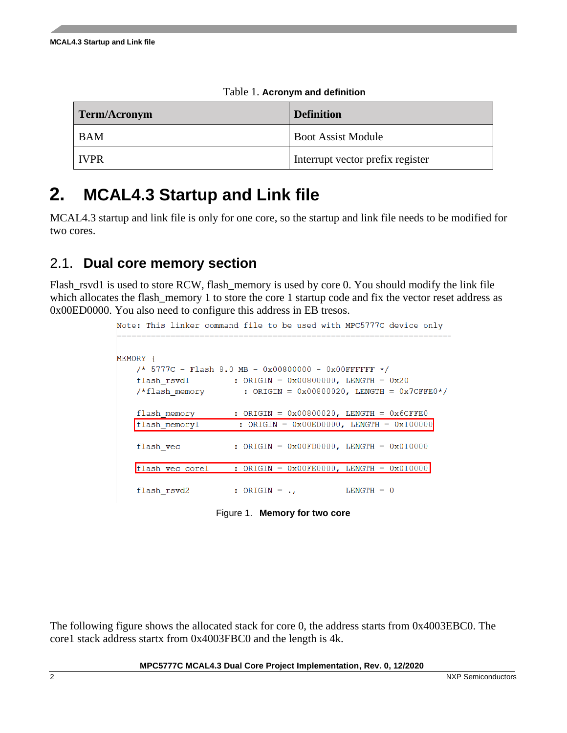| Term/Acronym | <b>Definition</b>                |  |  |
|--------------|----------------------------------|--|--|
| <b>BAM</b>   | <b>Boot Assist Module</b>        |  |  |
| l IVPR       | Interrupt vector prefix register |  |  |

Table 1. **Acronym and definition**

# <span id="page-1-0"></span>**2. MCAL4.3 Startup and Link file**

MCAL4.3 startup and link file is only for one core, so the startup and link file needs to be modified for two cores.

### <span id="page-1-1"></span>2.1. **Dual core memory section**

Flash\_rsvd1 is used to store RCW, flash\_memory is used by core 0. You should modify the link file which allocates the flash\_memory 1 to store the core 1 startup code and fix the vector reset address as 0x00ED0000. You also need to configure this address in EB tresos.

|          |                 | Note: This linker command file to be used with MPC5777C device only |
|----------|-----------------|---------------------------------------------------------------------|
| MEMORY { |                 |                                                                     |
|          |                 | /* 5777C - Flash 8.0 MB - 0x00800000 - 0x00FFFFFF */                |
|          | flash rsvdl     | : ORIGIN = $0x00800000$ , LENGTH = $0x20$                           |
|          | /*flash memory  | : ORIGIN = $0x00800020$ , LENGTH = $0x7CFFE0*/$                     |
|          | flash memory    | : ORIGIN = $0x00800020$ , LENGTH = $0x6CFFE0$                       |
|          | flash memory1   | : ORIGIN = $0x00ED0000$ , LENGTH = $0x100000$                       |
|          | flash vec       | : ORIGIN = $0x00F$ D0000, LENGTH = $0x010000$                       |
|          | flash vec corel | : ORIGIN = $0x00FE0000$ , LENGTH = $0x010000$                       |
|          | flash rsvd2     | $LENGTH = 0$<br>$:$ ORIGIN = $\cdot$ ,                              |

Figure 1. **Memory for two core**

The following figure shows the allocated stack for core 0, the address starts from 0x4003EBC0. The core1 stack address startx from 0x4003FBC0 and the length is 4k.

**MPC5777C MCAL4.3 Dual Core Project Implementation, Rev. 0, 12/2020**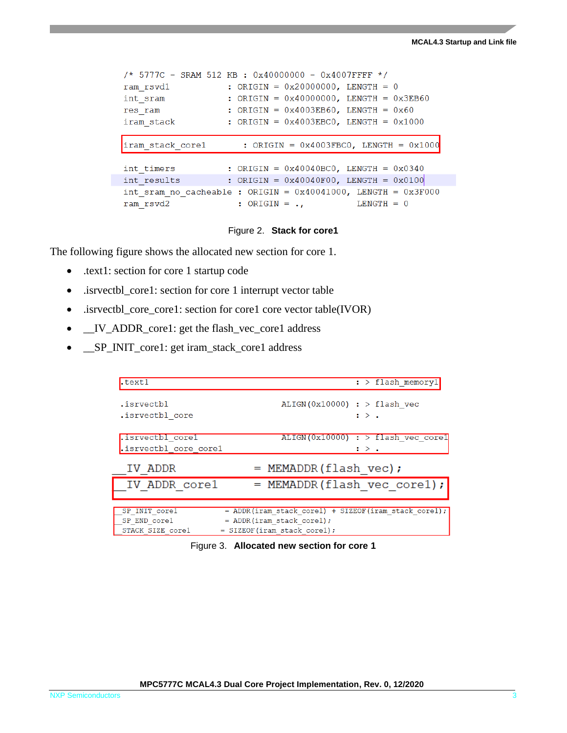```
/* 5777C - SRAM 512 KB : 0x40000000 - 0x4007FFFF */
ram_rsvd1 : ORIGIN = 0x20000000, LENGTH = 0
                  : ORIGIN = 0x40000000, LENGTH = 0x3EB60int sram
                   : ORIGIN = 0x4003EB60, LENGTH = 0x60res ram
                    : ORIGIN = 0x4003EBC0, LENGTH = 0x1000iram stack
iram stack corel
                       : ORIGIN = 0 \times 4003FBC0, LENGTH = 0 \times 1000int timers
                    : ORIGIN = 0x40040BC0, LENGTH = 0x0340int_results and the set
                    : ORIGIN = 0x40040F00, LENGTH = 0x0100int sram no cacheable : ORIGIN = 0x40041000, LENGTH = 0x3F000ram rsvd2
                      : ORIGIN = \cdot,
                                           LENGTH = 0
```
#### Figure 2. **Stack for core1**

The following figure shows the allocated new section for core 1.

- .text1: section for core 1 startup code
- .isrvectbl\_core1: section for core 1 interrupt vector table
- .isrvectbl\_core\_core1: section for core1 core vector table(IVOR)
- \_\_IV\_ADDR\_core1: get the flash\_vec\_core1 address
- \_\_SP\_INIT\_core1: get iram\_stack\_core1 address

| .text1                | $:$ > flash memoryl                                    |
|-----------------------|--------------------------------------------------------|
| .isrvectbl            | $ALIGN(0x10000)$ : > flash vec                         |
| .isrvectbl core       | $\mathbf{R}$ :                                         |
| .isrvectbl corel      | $ALIGN(0x10000)$ : > flash vec corel                   |
| .isrvectbl core corel | : > .                                                  |
| IV ADDR               | $=$ MEMADDR (flash vec);                               |
| IV ADDR corel         | $=$ MEMADDR(flash vec corel);                          |
| SP INIT corel         | $=$ ADDR(iram stack core1) + SIZEOF(iram stack core1); |
| SP END corel          | $=$ ADDR(iram stack corel);                            |

Figure 3. **Allocated new section for core 1**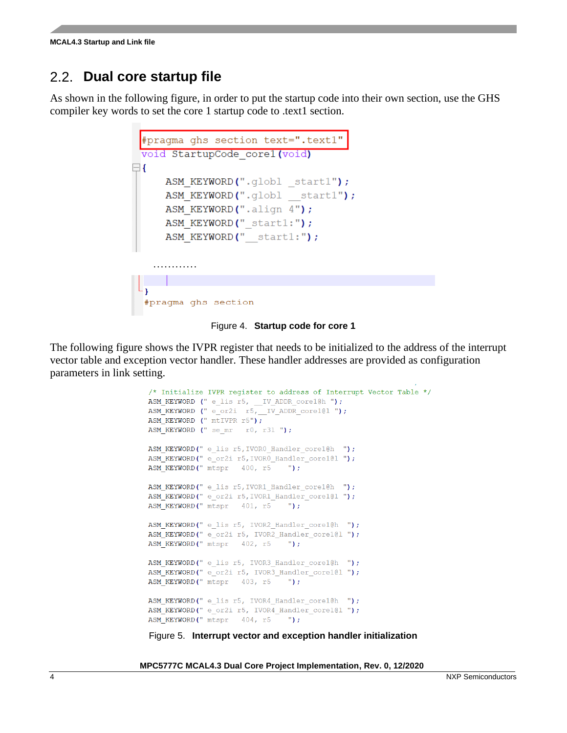### <span id="page-3-0"></span>2.2. **Dual core startup file**

As shown in the following figure, in order to put the startup code into their own section, use the GHS compiler key words to set the core 1 startup code to .text1 section.



Figure 4. **Startup code for core 1**

The following figure shows the IVPR register that needs to be initialized to the address of the interrupt vector table and exception vector handler. These handler addresses are provided as configuration parameters in link setting.

```
/* Initialize IVPR register to address of Interrupt Vector Table */
ASM_KEYWORD (" e_lis r5, __IV_ADDR_core1@h ");
ASM KEYWORD (" e or2i r5, IV ADDR core1@1 ");
ASM KEYWORD (" mtIVPR r5");
ASM KEYWORD (" se mr - r0, r31 ");
ASM_KEYWORD(" e_lis r5, IVORO_Handler_core1@h ");
ASM KEYWORD(" e or2i r5, IVORO Handler core101");
                                \sqrt{ }") ;
ASM KEYWORD(" mtspr 400, r5
ASM KEYWORD(" e lis r5, IVOR1 Handler core1@h ");
ASM KEYWORD(" e or2i r5, IVOR1 Handler core1@1 ");
ASM KEYWORD(" mtspr 401, r5 ");
ASM KEYWORD(" e lis r5, IVOR2 Handler core1@h ");
ASM_KEYWORD(" e_or2i r5, IVOR2_Handler_core1@1 ");
ASM KEYWORD(" mtspr 402, r5
                                \sqrt{m}ASM KEYWORD(" e lis r5, IVOR3 Handler core1@h ");
ASM KEYWORD(" e or2i r5, IVOR3 Handler core1@1 ");
ASM_KEYWORD(" mtspr 403, r5
                               \mathbb{Z});
ASM KEYWORD(" e lis r5, IVOR4 Handler core1@h ");
ASM_KEYWORD(" e_or2i r5, IVOR4_Handler_core1@l ");
ASM_KEYWORD(" mtspr 404, r5
                                 ");
```
Figure 5. **Interrupt vector and exception handler initialization**

**MPC5777C MCAL4.3 Dual Core Project Implementation, Rev. 0, 12/2020**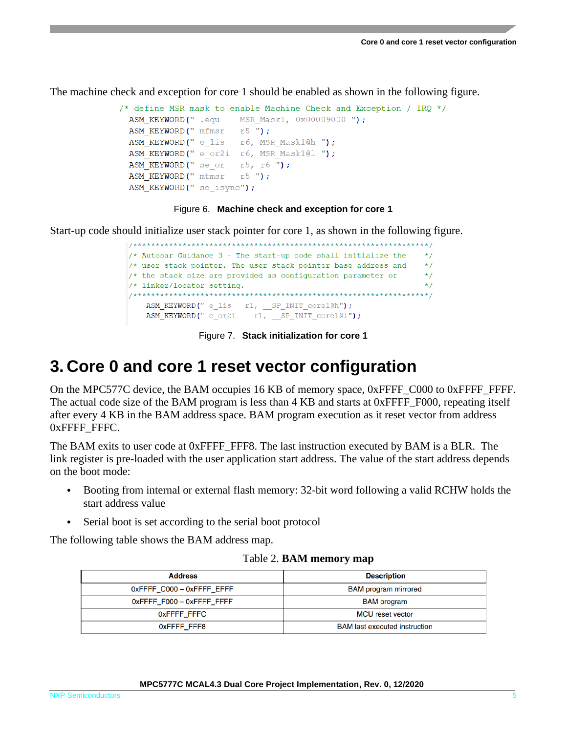The machine check and exception for core 1 should be enabled as shown in the following figure.

```
/* define MSR mask to enable Machine Check and Exception / IRO */
 ASM KEYWORD(" mfmsr r5");
 ASM KEYWORD(" e lis
                   r6, MSR Mask1@h ");
 ASM KEYWORD(" e or2i r6, MSR Mask1@l ");
 ASM KEYWORD(" se or
                   r5, r6 ");
 ASM KEYWORD (" mtmsr
                    r5 "):
 ASM KEYWORD (" se isync") ;
```
#### Figure 6. **Machine check and exception for core 1**

Start-up code should initialize user stack pointer for core 1, as shown in the following figure.

```
/* Autosar Guidance 3 - The start-up code shall initialize the
                                                \star /
/* user stack pointer. The user stack pointer base address and
                                                \star /
/* the stack size are provided as configuration parameter or
                                                \star /
/* linker/locator setting.
                                                \star /
ASM_KEYWORD(" e_lis r1, _SP_INIT_core1@h");
  ASM_KEYWORD(" e_or2i r1, __SP_INIT_core1@1");
```
Figure 7. **Stack initialization for core 1**

### <span id="page-4-0"></span>**3. Core 0 and core 1 reset vector configuration**

On the MPC577C device, the BAM occupies 16 KB of memory space, 0xFFFF\_C000 to 0xFFFF\_FFFF. The actual code size of the BAM program is less than 4 KB and starts at 0xFFFF\_F000, repeating itself after every 4 KB in the BAM address space. BAM program execution as it reset vector from address 0xFFFF\_FFFC.

The BAM exits to user code at 0xFFFF\_FFF8. The last instruction executed by BAM is a BLR. The link register is pre-loaded with the user application start address. The value of the start address depends on the boot mode:

- Booting from internal or external flash memory: 32-bit word following a valid RCHW holds the start address value
- Serial boot is set according to the serial boot protocol

The following table shows the BAM address map.

|  |  | Table 2. BAM memory map |  |
|--|--|-------------------------|--|
|--|--|-------------------------|--|

| <b>Address</b>                  | <b>Description</b>                   |
|---------------------------------|--------------------------------------|
| 0xFFFF C000 - 0xFFFF EFFF       | <b>BAM</b> program mirrored          |
| $0x$ FFFF_F000 - $0x$ FFFF_FFFF | <b>BAM</b> program                   |
| OXFFFF FFFC                     | <b>MCU</b> reset vector              |
| OXFFFF FFF8                     | <b>BAM</b> last executed instruction |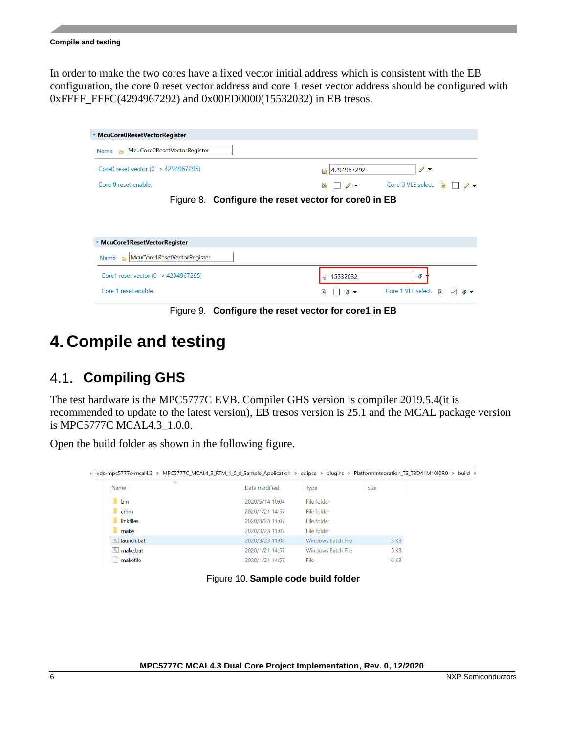#### **Compile and testing**

In order to make the two cores have a fixed vector initial address which is consistent with the EB configuration, the core 0 reset vector address and core 1 reset vector address should be configured with 0xFFFF\_FFFC(4294967292) and 0x00ED0000(15532032) in EB tresos.

| ▼ McuCore0ResetVectorRegister                        |                                                                           |  |
|------------------------------------------------------|---------------------------------------------------------------------------|--|
| McuCore0ResetVectorRegister<br>Name $\approx$        |                                                                           |  |
| Core0 reset vector (0 -> 4294967295)                 | $\mathscr{O}$ .<br>4294967292<br>隐                                        |  |
| Core 0 reset enable.                                 | Core 0 VLE select.<br><b>X</b><br>屠<br>$\mathscr{D}$ $\blacktriangledown$ |  |
| Figure 8. Configure the reset vector for core0 in EB |                                                                           |  |
| ▼ McuCore1ResetVectorRegister                        |                                                                           |  |
| McuCore1ResetVectorRegister<br>Name<br>$\rightarrow$ |                                                                           |  |
| Core1 reset vector (0 -> 4294967295)                 | 15532032<br>6                                                             |  |
|                                                      |                                                                           |  |

Figure 9. **Configure the reset vector for core1 in EB**

# <span id="page-5-0"></span>**4. Compile and testing**

### <span id="page-5-1"></span>4.1. **Compiling GHS**

The test hardware is the MPC5777C EVB. Compiler GHS version is compiler 2019.5.4(it is recommended to update to the latest version), EB tresos version is 25.1 and the MCAL package version is MPC5777C MCAL4.3\_1.0.0.

Open the build folder as shown in the following figure.

| « vds-mpc5777c-mcal4.3 > MPC5777C_MCAL4_3_RTM_1_0_0_Sample_Application > eclipse > plugins > PlatformIntegration_TS_T2D41M10I0R0 > build > |                 |                           |              |  |
|--------------------------------------------------------------------------------------------------------------------------------------------|-----------------|---------------------------|--------------|--|
| $\widehat{\phantom{a}}$<br><b>Name</b>                                                                                                     | Date modified   | <b>Type</b>               | <b>Size</b>  |  |
| bin                                                                                                                                        | 2020/5/14 10:04 | File folder               |              |  |
| cmm                                                                                                                                        | 2020/1/21 14:57 | File folder               |              |  |
| linkfiles                                                                                                                                  | 2020/3/23 11:07 | File folder               |              |  |
| make                                                                                                                                       | 2020/3/23 11:07 | File folder               |              |  |
| <b>S</b> launch.bat                                                                                                                        | 2020/3/23 11:08 | <b>Windows Batch File</b> | 3 KB         |  |
| nake.bat                                                                                                                                   | 2020/1/21 14:57 | <b>Windows Batch File</b> | 5 KB         |  |
| makefile                                                                                                                                   | 2020/1/21 14:57 | File                      | <b>16 KB</b> |  |
|                                                                                                                                            |                 |                           |              |  |

Figure 10. **Sample code build folder**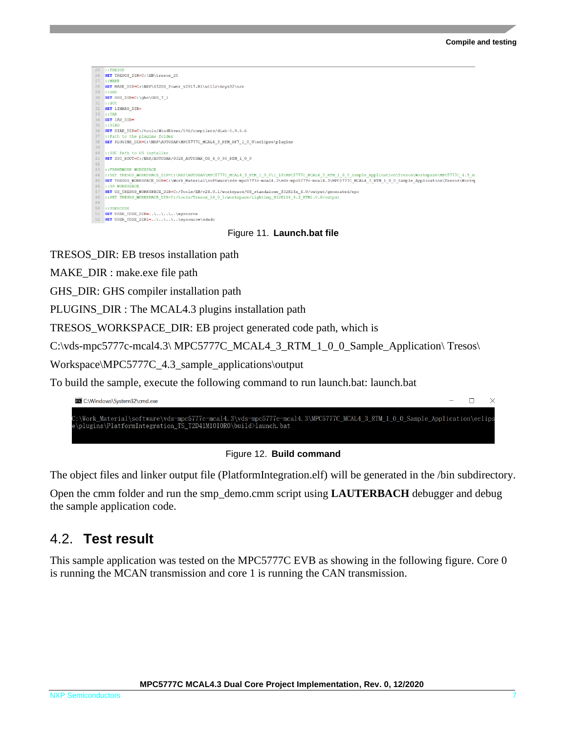

Figure 11. **Launch.bat file**

TRESOS\_DIR: EB tresos installation path

MAKE\_DIR : make.exe file path

GHS\_DIR: GHS compiler installation path

PLUGINS\_DIR : The MCAL4.3 plugins installation path

TRESOS\_WORKSPACE\_DIR: EB project generated code path, which is

C:\vds-mpc5777c-mcal4.3\ MPC5777C\_MCAL4\_3\_RTM\_1\_0\_0\_Sample\_Application\ Tresos\

Workspace\MPC5777C\_4.3\_sample\_applications\output

To build the sample, execute the following command to run launch.bat: launch.bat

| <b>BL</b> C:\Windows\System32\cmd.exe                                                                                                                                                      | $ \Box$ $\times$ |  |
|--------------------------------------------------------------------------------------------------------------------------------------------------------------------------------------------|------------------|--|
| C:\Work Material\software\vds-mpc5777c-mcal4.3\vds-mpc5777c-mcal4.3\MPC5777C MCAL4 3 RTM 1 0 0 Sample Application\eclips<br>e\plugins\PlatformIntegration TS T2D41M10I0R0\build>launch.bat |                  |  |

Figure 12. **Build command**

The object files and linker output file (PlatformIntegration.elf) will be generated in the /bin subdirectory.

Open the cmm folder and run the smp\_demo.cmm script using **LAUTERBACH** debugger and debug the sample application code.

### <span id="page-6-0"></span>4.2. **Test result**

This sample application was tested on the MPC5777C EVB as showing in the following figure. Core 0 is running the MCAN transmission and core 1 is running the CAN transmission.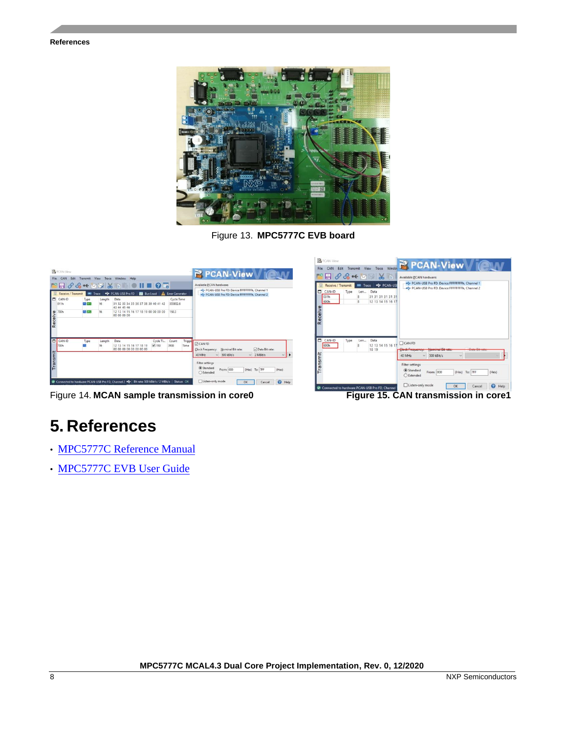#### **References**



Figure 13. **MPC5777C EVB board**

| <b>PCAN-View</b><br>Edit Transmit View Trace Window Help<br>File CAN<br>$\blacksquare \blacksquare \mathscr{S} \mathscr{E} \dashleftarrow \boxtimes \boxtimes \textcolor{red}{\rtimes} \blacksquare \blacksquare \blacksquare \blacksquare \blacksquare \blacksquare \blacksquare \blacksquare$<br>PCAN-USB Pro FD   20 Bus Load   A Error Generator<br>Receive / Transmit<br>Trace |                          |        |                                                                                                                                                                                 |                                          | <b>R</b> PCAN-View <b>CLAV</b><br>Available PCAN hardware:<br>.C. PCAN-USB Pro FD: Device FFFFFFFFFh. Channel 1<br>+C+ PCAN-USB Pro FD: Device FFFFFFFFh, Channel 2                                                                                               | <b>B</b> PCAN-View<br>$\begin{picture}(150,10) \put(0,0){\line(1,0){10}} \put(15,0){\line(1,0){10}} \put(15,0){\line(1,0){10}} \put(15,0){\line(1,0){10}} \put(15,0){\line(1,0){10}} \put(15,0){\line(1,0){10}} \put(15,0){\line(1,0){10}} \put(15,0){\line(1,0){10}} \put(15,0){\line(1,0){10}} \put(15,0){\line(1,0){10}} \put(15,0){\line(1,0){10}} \put(15,0){\line($<br>Receive / Transmit <b>RM</b> Trace $\frac{1}{2}$ PCAN-USE<br>▭<br>Type<br>CAN-ID<br>Len Data<br>31 31 31 31 31 31<br>031h | CAN Edit Transmit View Trace Window TV PCAN-View / CANA<br>Available PCAN hardware:<br>+C+ PCAN-USB Pro FD: Device FFFFFFFFh, Channel 1<br>PCAN-USB Pro FD: Device FFFFFFFFh, Channel 2                                                                                              |  |
|-------------------------------------------------------------------------------------------------------------------------------------------------------------------------------------------------------------------------------------------------------------------------------------------------------------------------------------------------------------------------------------|--------------------------|--------|---------------------------------------------------------------------------------------------------------------------------------------------------------------------------------|------------------------------------------|-------------------------------------------------------------------------------------------------------------------------------------------------------------------------------------------------------------------------------------------------------------------|--------------------------------------------------------------------------------------------------------------------------------------------------------------------------------------------------------------------------------------------------------------------------------------------------------------------------------------------------------------------------------------------------------------------------------------------------------------------------------------------------------|--------------------------------------------------------------------------------------------------------------------------------------------------------------------------------------------------------------------------------------------------------------------------------------|--|
| CAN-ID<br>011h<br>Receive                                                                                                                                                                                                                                                                                                                                                           | Type<br>FD BRS<br>FD BRS | Length | Data<br>31 32 33 34 35 36 37 38 39 40 41 42<br>43 44 45 46<br>12 13 14 15 16 17 18 19 00 00 00 00<br>00 00 00 00                                                                | Cycle Time<br>355852.6<br>150.3          |                                                                                                                                                                                                                                                                   | 12 13 14 15 16 17<br>600h<br>$\overline{8}$<br>Receive                                                                                                                                                                                                                                                                                                                                                                                                                                                 |                                                                                                                                                                                                                                                                                      |  |
| CAN-ID<br>700h<br>Transmit                                                                                                                                                                                                                                                                                                                                                          | Type                     | Length | Data<br>$\sqrt{150}$<br>12 13 14 15 16 17 18 19<br>00 00 00 00 00 00 00 00<br>Connected to hardware PCAN-USB Pro FD, Channel 2 *** Bit rate: 500 kBit/s / 2 MBit/s   Status: OK | Cycle Ti Count<br>Trigge<br>3900<br>Time | CANFD<br>□ Data Bit rate:<br>Clock Frequency: Nominal Bit rate:<br>$\sim$ 2 MBit/s<br>$\vee$ 500 kBit/s<br>40 MHz<br><b>Filter settings</b><br>C Standard<br>(Hex) To: 7FF<br>From: 000<br>(Hex)<br>Extended<br>Listen-only mode<br><b>O</b> Help<br>OK<br>Cancel | Ξ<br>Type<br>CAN-ID<br>Len Data<br>12 13 14 15 16 17<br>600h<br>18 19<br>Transmit<br>Connected to hardware PCAN-USB Pro FD. Channel                                                                                                                                                                                                                                                                                                                                                                    | $\Box$ CAN FD<br>Due Die<br>Nominal Bit rate<br><b>Clock Frequency:</b><br>word on rot<br>$\vee$ 500 kBit/s<br>40 MHz<br>$\checkmark$<br>Filter settings<br>C Standard<br>From: 000<br>(Hex) To: 7FF<br>(Hex)<br>○ Extended<br>Listen-only mode<br><sup>O</sup> Help<br>OK<br>Cancel |  |

Figure 14. **MCAN sample transmission in core0 Figure 15. CAN transmission in core1**

# <span id="page-7-0"></span>**5. References**

- [MPC5777C Reference Manual](https://www.nxp.com/docs/en/reference-manual/MPC5777CRM.pdf)
- [MPC5777C EVB User Guide](https://www.nxp.com/docs/en/user-guide/MPC5777CEVBUG.pdf)